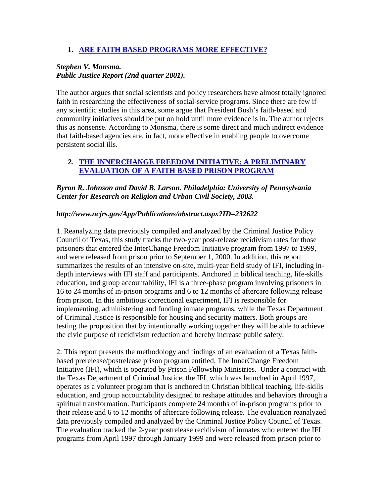### **1. ARE FAITH BASED PROGRAMS MORE EFFECTIVE?**

# *Stephen V. Monsma. Public Justice Report (2nd quarter 2001).*

The author argues that social scientists and policy researchers have almost totally ignored faith in researching the effectiveness of social-service programs. Since there are few if any scientific studies in this area, some argue that President Bush's faith-based and community initiatives should be put on hold until more evidence is in. The author rejects this as nonsense. According to Monsma, there is some direct and much indirect evidence that faith-based agencies are, in fact, more effective in enabling people to overcome persistent social ills.

## *2.* **THE INNERCHANGE FREEDOM INITIATIVE: A PRELIMINARY EVALUATION OF A FAITH BASED PRISON PROGRAM**

*Byron R. Johnson and David B. Larson. Philadelphia: University of Pennsylvania Center for Research on Religion and Urban Civil Society, 2003.* 

### *http://www.ncjrs.gov/App/Publications/abstract.aspx?ID=232622*

1. Reanalyzing data previously compiled and analyzed by the Criminal Justice Policy Council of Texas, this study tracks the two-year post-release recidivism rates for those prisoners that entered the InterChange Freedom Initiative program from 1997 to 1999, and were released from prison prior to September 1, 2000. In addition, this report summarizes the results of an intensive on-site, multi-year field study of IFI, including indepth interviews with IFI staff and participants. Anchored in biblical teaching, life-skills education, and group accountability, IFI is a three-phase program involving prisoners in 16 to 24 months of in-prison programs and 6 to 12 months of aftercare following release from prison. In this ambitious correctional experiment, IFI is responsible for implementing, administering and funding inmate programs, while the Texas Department of Criminal Justice is responsible for housing and security matters. Both groups are testing the proposition that by intentionally working together they will be able to achieve the civic purpose of recidivism reduction and hereby increase public safety.

2. This report presents the methodology and findings of an evaluation of a Texas faithbased prerelease/postrelease prison program entitled, The InnerChange Freedom Initiative (IFI), which is operated by Prison Fellowship Ministries. Under a contract with the Texas Department of Criminal Justice, the IFI, which was launched in April 1997, operates as a volunteer program that is anchored in Christian biblical teaching, life-skills education, and group accountability designed to reshape attitudes and behaviors through a spiritual transformation. Participants complete 24 months of in-prison programs prior to their release and 6 to 12 months of aftercare following release. The evaluation reanalyzed data previously compiled and analyzed by the Criminal Justice Policy Council of Texas. The evaluation tracked the 2-year postrelease recidivism of inmates who entered the IFI programs from April 1997 through January 1999 and were released from prison prior to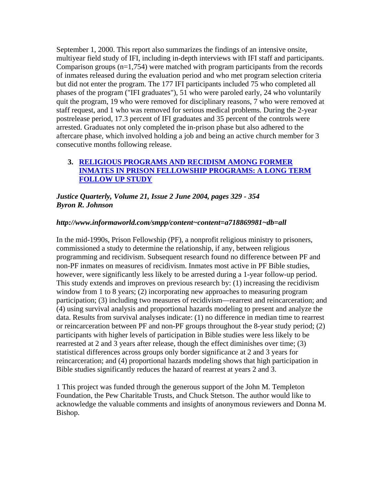September 1, 2000. This report also summarizes the findings of an intensive onsite, multiyear field study of IFI, including in-depth interviews with IFI staff and participants. Comparison groups  $(n=1,754)$  were matched with program participants from the records of inmates released during the evaluation period and who met program selection criteria but did not enter the program. The 177 IFI participants included 75 who completed all phases of the program ("IFI graduates"), 51 who were paroled early, 24 who voluntarily quit the program, 19 who were removed for disciplinary reasons, 7 who were removed at staff request, and 1 who was removed for serious medical problems. During the 2-year postrelease period, 17.3 percent of IFI graduates and 35 percent of the controls were arrested. Graduates not only completed the in-prison phase but also adhered to the aftercare phase, which involved holding a job and being an active church member for 3 consecutive months following release.

## **3. RELIGIOUS PROGRAMS AND RECIDISM AMONG FORMER INMATES IN PRISON FELLOWSHIP PROGRAMS: A LONG TERM FOLLOW UP STUDY**

*Justice Quarterly, Volume 21, Issue 2 June 2004, pages 329 - 354 Byron R. Johnson* 

### *http://www.informaworld.com/smpp/content~content=a718869981~db=all*

In the mid-1990s, Prison Fellowship (PF), a nonprofit religious ministry to prisoners, commissioned a study to determine the relationship, if any, between religious programming and recidivism. Subsequent research found no difference between PF and non-PF inmates on measures of recidivism. Inmates most active in PF Bible studies, however, were significantly less likely to be arrested during a 1-year follow-up period. This study extends and improves on previous research by: (1) increasing the recidivism window from 1 to 8 years; (2) incorporating new approaches to measuring program participation; (3) including two measures of recidivism—rearrest and reincarceration; and (4) using survival analysis and proportional hazards modeling to present and analyze the data. Results from survival analyses indicate: (1) no difference in median time to rearrest or reincarceration between PF and non-PF groups throughout the 8-year study period; (2) participants with higher levels of participation in Bible studies were less likely to be rearrested at 2 and 3 years after release, though the effect diminishes over time; (3) statistical differences across groups only border significance at 2 and 3 years for reincarceration; and (4) proportional hazards modeling shows that high participation in Bible studies significantly reduces the hazard of rearrest at years 2 and 3.

1 This project was funded through the generous support of the John M. Templeton Foundation, the Pew Charitable Trusts, and Chuck Stetson. The author would like to acknowledge the valuable comments and insights of anonymous reviewers and Donna M. Bishop.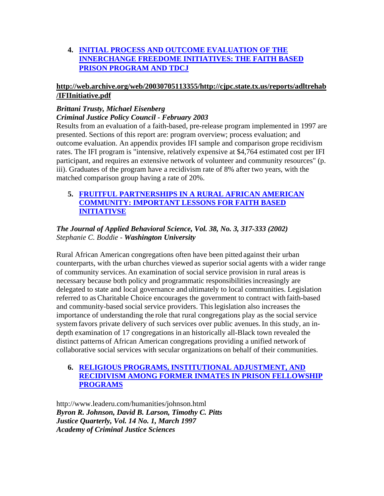# **4. INITIAL PROCESS AND OUTCOME EVALUATION OF THE INNERCHANGE FREEDOME INITIATIVES: THE FAITH BASED PRISON PROGRAM AND TDCJ**

## **http://web.archive.org/web/20030705113355/http://cjpc.state.tx.us/reports/adltrehab /IFIInitiative.pdf**

# *Brittani Trusty, Michael Eisenberg Criminal Justice Policy Council - February 2003*

Results from an evaluation of a faith-based, pre-release program implemented in 1997 are presented. Sections of this report are: program overview; process evaluation; and outcome evaluation. An appendix provides IFI sample and comparison grope recidivism rates. The IFI program is "intensive, relatively expensive at \$4,764 estimated cost per IFI participant, and requires an extensive network of volunteer and community resources" (p. iii). Graduates of the program have a recidivism rate of 8% after two years, with the matched comparison group having a rate of 20%.

# **5. FRUITFUL PARTNERSHIPS IN A RURAL AFRICAN AMERICAN COMMUNITY: IMPORTANT LESSONS FOR FAITH BASED INITIATIVSE**

# *The Journal of Applied Behavioral Science, Vol. 38, No. 3, 317-333 (2002) Stephanie C. Boddie - Washington University*

Rural African American congregations often have been pitted against their urban counterparts, with the urban churches viewed as superior social agents with a wider range of community services. An examination of social service provision in rural areas is necessary because both policy and programmatic responsibilitiesincreasingly are delegated to state and local governance and ultimately to local communities. Legislation referred to as Charitable Choice encourages the government to contract with faith-based and community-based social service providers. Thislegislation also increases the importance of understanding the role that rural congregations play as the social service system favors private delivery of such services over public avenues. In this study, an indepth examination of 17 congregations in an historically all-Black town revealed the distinct patterns of African American congregations providing a unified network of collaborative social services with secular organizations on behalf of their communities.

# **6. RELIGIOUS PROGRAMS, INSTITUTIONAL ADJUSTMENT, AND RECIDIVISM AMONG FORMER INMATES IN PRISON FELLOWSHIP PROGRAMS**

http://www.leaderu.com/humanities/johnson.html *Byron R. Johnson, David B. Larson, Timothy C. Pitts Justice Quarterly, Vol. 14 No. 1, March 1997 Academy of Criminal Justice Sciences*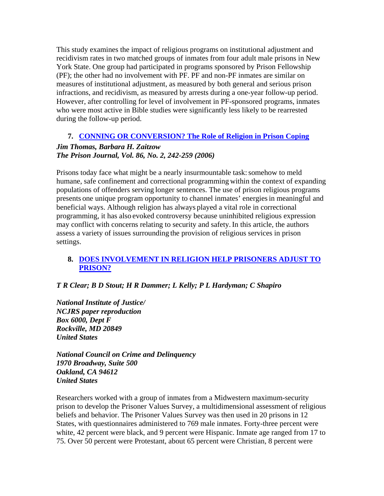This study examines the impact of religious programs on institutional adjustment and recidivism rates in two matched groups of inmates from four adult male prisons in New York State. One group had participated in programs sponsored by Prison Fellowship (PF); the other had no involvement with PF. PF and non-PF inmates are similar on measures of institutional adjustment, as measured by both general and serious prison infractions, and recidivism, as measured by arrests during a one-year follow-up period. However, after controlling for level of involvement in PF-sponsored programs, inmates who were most active in Bible studies were significantly less likely to be rearrested during the follow-up period.

# **7. CONNING OR CONVERSION? The Role of Religion in Prison Coping**

## *Jim Thomas, Barbara H. Zaitzow The Prison Journal, Vol. 86, No. 2, 242-259 (2006)*

Prisons today face what might be a nearly insurmountable task: somehow to meld humane, safe confinement and correctional programming within the context of expanding populations of offenders serving longer sentences. The use of prison religious programs presents one unique program opportunity to channel inmates' energiesin meaningful and beneficial ways. Although religion has always played a vital role in correctional programming, it has also evoked controversy because uninhibited religious expression may conflict with concerns relating to security and safety.In this article, the authors assess a variety of issues surrounding the provision of religious services in prison settings.

# **8. DOES INVOLVEMENT IN RELIGION HELP PRISONERS ADJUST TO PRISON?**

### *T R Clear; B D Stout; H R Dammer; L Kelly; P L Hardyman; C Shapiro*

*National Institute of Justice/ NCJRS paper reproduction Box 6000, Dept F Rockville, MD 20849 United States* 

*National Council on Crime and Delinquency 1970 Broadway, Suite 500 Oakland, CA 94612 United States* 

Researchers worked with a group of inmates from a Midwestern maximum-security prison to develop the Prisoner Values Survey, a multidimensional assessment of religious beliefs and behavior. The Prisoner Values Survey was then used in 20 prisons in 12 States, with questionnaires administered to 769 male inmates. Forty-three percent were white, 42 percent were black, and 9 percent were Hispanic. Inmate age ranged from 17 to 75. Over 50 percent were Protestant, about 65 percent were Christian, 8 percent were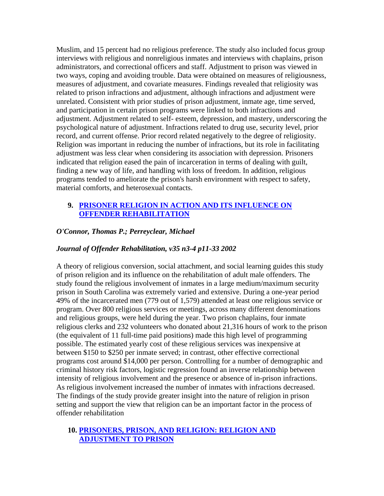Muslim, and 15 percent had no religious preference. The study also included focus group interviews with religious and nonreligious inmates and interviews with chaplains, prison administrators, and correctional officers and staff. Adjustment to prison was viewed in two ways, coping and avoiding trouble. Data were obtained on measures of religiousness, measures of adjustment, and covariate measures. Findings revealed that religiosity was related to prison infractions and adjustment, although infractions and adjustment were unrelated. Consistent with prior studies of prison adjustment, inmate age, time served, and participation in certain prison programs were linked to both infractions and adjustment. Adjustment related to self- esteem, depression, and mastery, underscoring the psychological nature of adjustment. Infractions related to drug use, security level, prior record, and current offense. Prior record related negatively to the degree of religiosity. Religion was important in reducing the number of infractions, but its role in facilitating adjustment was less clear when considering its association with depression. Prisoners indicated that religion eased the pain of incarceration in terms of dealing with guilt, finding a new way of life, and handling with loss of freedom. In addition, religious programs tended to ameliorate the prison's harsh environment with respect to safety, material comforts, and heterosexual contacts.

### **9. PRISONER RELIGION IN ACTION AND ITS INFLUENCE ON OFFENDER REHABILITATION**

### *O'Connor, Thomas P.; Perreyclear, Michael*

### *Journal of Offender Rehabilitation, v35 n3-4 p11-33 2002*

A theory of religious conversion, social attachment, and social learning guides this study of prison religion and its influence on the rehabilitation of adult male offenders. The study found the religious involvement of inmates in a large medium/maximum security prison in South Carolina was extremely varied and extensive. During a one-year period 49% of the incarcerated men (779 out of 1,579) attended at least one religious service or program. Over 800 religious services or meetings, across many different denominations and religious groups, were held during the year. Two prison chaplains, four inmate religious clerks and 232 volunteers who donated about 21,316 hours of work to the prison (the equivalent of 11 full-time paid positions) made this high level of programming possible. The estimated yearly cost of these religious services was inexpensive at between \$150 to \$250 per inmate served; in contrast, other effective correctional programs cost around \$14,000 per person. Controlling for a number of demographic and criminal history risk factors, logistic regression found an inverse relationship between intensity of religious involvement and the presence or absence of in-prison infractions. As religious involvement increased the number of inmates with infractions decreased. The findings of the study provide greater insight into the nature of religion in prison setting and support the view that religion can be an important factor in the process of offender rehabilitation

### **10. PRISONERS, PRISON, AND RELIGION: RELIGION AND ADJUSTMENT TO PRISON**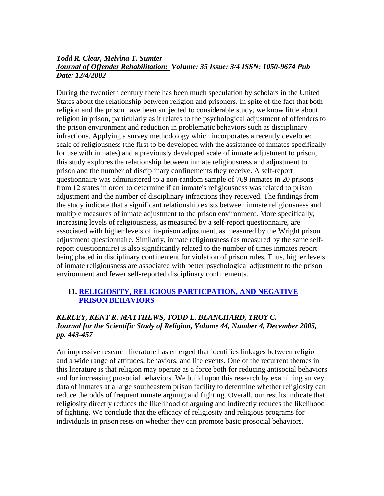### *Todd R. Clear, Melvina T. Sumter Journal of Offender Rehabilitation: Volume: 35 Issue: 3/4 ISSN: 1050-9674 Pub Date: 12/4/2002*

During the twentieth century there has been much speculation by scholars in the United States about the relationship between religion and prisoners. In spite of the fact that both religion and the prison have been subjected to considerable study, we know little about religion in prison, particularly as it relates to the psychological adjustment of offenders to the prison environment and reduction in problematic behaviors such as disciplinary infractions. Applying a survey methodology which incorporates a recently developed scale of religiousness (the first to be developed with the assistance of inmates specifically for use with inmates) and a previously developed scale of inmate adjustment to prison, this study explores the relationship between inmate religiousness and adjustment to prison and the number of disciplinary confinements they receive. A self-report questionnaire was administered to a non-random sample of 769 inmates in 20 prisons from 12 states in order to determine if an inmate's religiousness was related to prison adjustment and the number of disciplinary infractions they received. The findings from the study indicate that a significant relationship exists between inmate religiousness and multiple measures of inmate adjustment to the prison environment. More specifically, increasing levels of religiousness, as measured by a self-report questionnaire, are associated with higher levels of in-prison adjustment, as measured by the Wright prison adjustment questionnaire. Similarly, inmate religiousness (as measured by the same selfreport questionnaire) is also significantly related to the number of times inmates report being placed in disciplinary confinement for violation of prison rules. Thus, higher levels of inmate religiousness are associated with better psychological adjustment to the prison environment and fewer self-reported disciplinary confinements.

### **11. RELIGIOSITY, RELIGIOUS PARTICPATION, AND NEGATIVE PRISON BEHAVIORS**

### *KERLEY, KENT R., MATTHEWS, TODD L. BLANCHARD, TROY C. Journal for the Scientific Study of Religion, Volume 44, Number 4, December 2005, pp. 443-457*

An impressive research literature has emerged that identifies linkages between religion and a wide range of attitudes, behaviors, and life events. One of the recurrent themes in this literature is that religion may operate as a force both for reducing antisocial behaviors and for increasing prosocial behaviors. We build upon this research by examining survey data of inmates at a large southeastern prison facility to determine whether religiosity can reduce the odds of frequent inmate arguing and fighting. Overall, our results indicate that religiosity directly reduces the likelihood of arguing and indirectly reduces the likelihood of fighting. We conclude that the efficacy of religiosity and religious programs for individuals in prison rests on whether they can promote basic prosocial behaviors.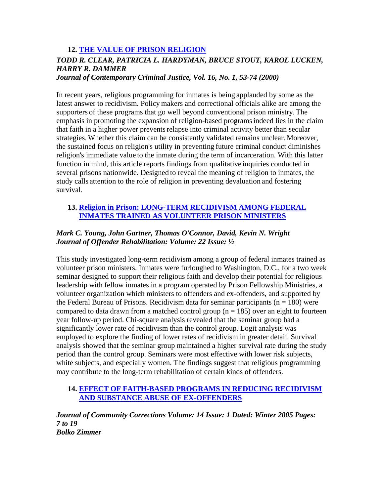# **12. THE VALUE OF PRISON RELIGION**

# *TODD R. CLEAR, PATRICIA L. HARDYMAN, BRUCE STOUT, KAROL LUCKEN, HARRY R. DAMMER*

*Journal of Contemporary Criminal Justice, Vol. 16, No. 1, 53-74 (2000)* 

In recent years, religious programming for inmates is being applauded by some as the latest answer to recidivism. Policy makers and correctional officials alike are among the supporters of these programs that go well beyond conventional prison ministry. The emphasis in promoting the expansion of religion-based programsindeed lies in the claim that faith in a higher power prevents relapse into criminal activity better than secular strategies. Whether this claim can be consistently validated remains unclear. Moreover, the sustained focus on religion's utility in preventing future criminal conduct diminishes religion's immediate value to the inmate during the term of incarceration. With this latter function in mind, this article reports findings from qualitative inquiries conducted in several prisons nationwide. Designed to reveal the meaning of religion to inmates, the study calls attention to the role of religion in preventing devaluation and fostering survival.

## **13. Religion in Prison: LONG-TERM RECIDIVISM AMONG FEDERAL INMATES TRAINED AS VOLUNTEER PRISON MINISTERS**

## *Mark C. Young, John Gartner, Thomas O'Connor, David, Kevin N. Wright Journal of Offender Rehabilitation: Volume: 22 Issue: ½*

This study investigated long-term recidivism among a group of federal inmates trained as volunteer prison ministers. Inmates were furloughed to Washington, D.C., for a two week seminar designed to support their religious faith and develop their potential for religious leadership with fellow inmates in a program operated by Prison Fellowship Ministries, a volunteer organization which ministers to offenders and ex-offenders, and supported by the Federal Bureau of Prisons. Recidivism data for seminar participants ( $n = 180$ ) were compared to data drawn from a matched control group ( $n = 185$ ) over an eight to fourteen year follow-up period. Chi-square analysis revealed that the seminar group had a significantly lower rate of recidivism than the control group. Logit analysis was employed to explore the finding of lower rates of recidivism in greater detail. Survival analysis showed that the seminar group maintained a higher survival rate during the study period than the control group. Seminars were most effective with lower risk subjects, white subjects, and especially women. The findings suggest that religious programming may contribute to the long-term rehabilitation of certain kinds of offenders.

### **14. EFFECT OF FAITH-BASED PROGRAMS IN REDUCING RECIDIVISM AND SUBSTANCE ABUSE OF EX-OFFENDERS**

*Journal of Community Corrections Volume: 14 Issue: 1 Dated: Winter 2005 Pages: 7 to 19 Bolko Zimmer*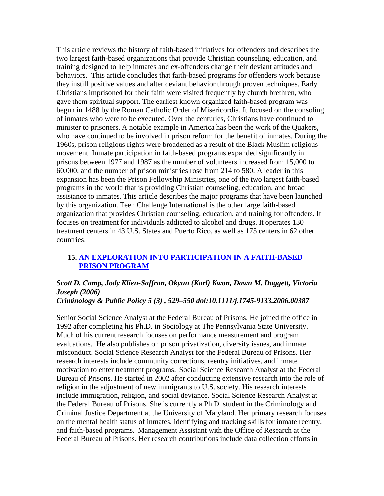This article reviews the history of faith-based initiatives for offenders and describes the two largest faith-based organizations that provide Christian counseling, education, and training designed to help inmates and ex-offenders change their deviant attitudes and behaviors. This article concludes that faith-based programs for offenders work because they instill positive values and alter deviant behavior through proven techniques. Early Christians imprisoned for their faith were visited frequently by church brethren, who gave them spiritual support. The earliest known organized faith-based program was begun in 1488 by the Roman Catholic Order of Misericordia. It focused on the consoling of inmates who were to be executed. Over the centuries, Christians have continued to minister to prisoners. A notable example in America has been the work of the Quakers, who have continued to be involved in prison reform for the benefit of inmates. During the 1960s, prison religious rights were broadened as a result of the Black Muslim religious movement. Inmate participation in faith-based programs expanded significantly in prisons between 1977 and 1987 as the number of volunteers increased from 15,000 to 60,000, and the number of prison ministries rose from 214 to 580. A leader in this expansion has been the Prison Fellowship Ministries, one of the two largest faith-based programs in the world that is providing Christian counseling, education, and broad assistance to inmates. This article describes the major programs that have been launched by this organization. Teen Challenge International is the other large faith-based organization that provides Christian counseling, education, and training for offenders. It focuses on treatment for individuals addicted to alcohol and drugs. It operates 130 treatment centers in 43 U.S. States and Puerto Rico, as well as 175 centers in 62 other countries.

### **15. AN EXPLORATION INTO PARTICIPATION IN A FAITH-BASED PRISON PROGRAM**

# *Scott D. Camp, Jody Klien-Saffran, Okyun (Karl) Kwon, Dawn M. Daggett, Victoria Joseph (2006)*

### *Criminology & Public Policy 5 (3) , 529–550 doi:10.1111/j.1745-9133.2006.00387*

Senior Social Science Analyst at the Federal Bureau of Prisons. He joined the office in 1992 after completing his Ph.D. in Sociology at The Pennsylvania State University. Much of his current research focuses on performance measurement and program evaluations. He also publishes on prison privatization, diversity issues, and inmate misconduct. Social Science Research Analyst for the Federal Bureau of Prisons. Her research interests include community corrections, reentry initiatives, and inmate motivation to enter treatment programs. Social Science Research Analyst at the Federal Bureau of Prisons. He started in 2002 after conducting extensive research into the role of religion in the adjustment of new immigrants to U.S. society. His research interests include immigration, religion, and social deviance. Social Science Research Analyst at the Federal Bureau of Prisons. She is currently a Ph.D. student in the Criminology and Criminal Justice Department at the University of Maryland. Her primary research focuses on the mental health status of inmates, identifying and tracking skills for inmate reentry, and faith-based programs. Management Assistant with the Office of Research at the Federal Bureau of Prisons. Her research contributions include data collection efforts in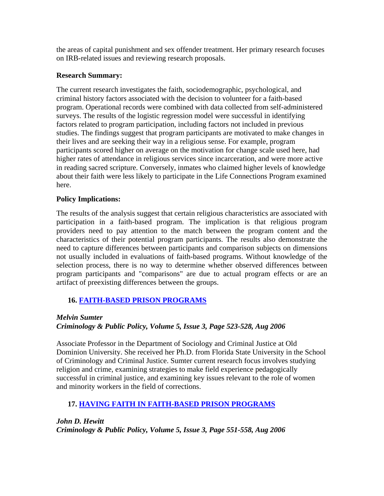the areas of capital punishment and sex offender treatment. Her primary research focuses on IRB-related issues and reviewing research proposals.

### **Research Summary:**

The current research investigates the faith, sociodemographic, psychological, and criminal history factors associated with the decision to volunteer for a faith-based program. Operational records were combined with data collected from self-administered surveys. The results of the logistic regression model were successful in identifying factors related to program participation, including factors not included in previous studies. The findings suggest that program participants are motivated to make changes in their lives and are seeking their way in a religious sense. For example, program participants scored higher on average on the motivation for change scale used here, had higher rates of attendance in religious services since incarceration, and were more active in reading sacred scripture. Conversely, inmates who claimed higher levels of knowledge about their faith were less likely to participate in the Life Connections Program examined here.

### **Policy Implications:**

The results of the analysis suggest that certain religious characteristics are associated with participation in a faith-based program. The implication is that religious program providers need to pay attention to the match between the program content and the characteristics of their potential program participants. The results also demonstrate the need to capture differences between participants and comparison subjects on dimensions not usually included in evaluations of faith-based programs. Without knowledge of the selection process, there is no way to determine whether observed differences between program participants and "comparisons" are due to actual program effects or are an artifact of preexisting differences between the groups.

### **16. FAITH-BASED PRISON PROGRAMS**

### *Melvin Sumter*

### *Criminology & Public Policy, Volume 5, Issue 3, Page 523-528, Aug 2006*

Associate Professor in the Department of Sociology and Criminal Justice at Old Dominion University. She received her Ph.D. from Florida State University in the School of Criminology and Criminal Justice. Sumter current research focus involves studying religion and crime, examining strategies to make field experience pedagogically successful in criminal justice, and examining key issues relevant to the role of women and minority workers in the field of corrections.

### **17. HAVING FAITH IN FAITH-BASED PRISON PROGRAMS**

*John D. Hewitt Criminology & Public Policy, Volume 5, Issue 3, Page 551-558, Aug 2006*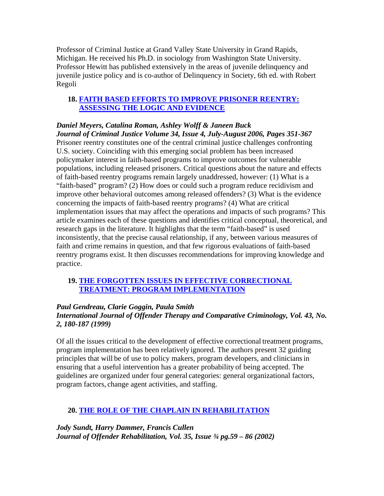Professor of Criminal Justice at Grand Valley State University in Grand Rapids, Michigan. He received his Ph.D. in sociology from Washington State University. Professor Hewitt has published extensively in the areas of juvenile delinquency and juvenile justice policy and is co-author of Delinquency in Society, 6th ed. with Robert Regoli

### **18. FAITH BASED EFFORTS TO IMPROVE PRISONER REENTRY: ASSESSING THE LOGIC AND EVIDENCE**

### *Daniel Meyers, Catalina Roman, Ashley Wolff & Janeen Buck Journal of Criminal Justice Volume 34, Issue 4, July-August 2006, Pages 351-367* Prisoner reentry constitutes one of the central criminal justice challenges confronting U.S. society. Coinciding with this emerging social problem has been increased policymaker interest in faith-based programs to improve outcomes for vulnerable populations, including released prisoners. Critical questions about the nature and effects of faith-based reentry programs remain largely unaddressed, however: (1) What is a "faith-based" program? (2) How does or could such a program reduce recidivism and improve other behavioral outcomes among released offenders? (3) What is the evidence concerning the impacts of faith-based reentry programs? (4) What are critical implementation issues that may affect the operations and impacts of such programs? This article examines each of these questions and identifies critical conceptual, theoretical, and research gaps in the literature. It highlights that the term "faith-based" is used inconsistently, that the precise causal relationship, if any, between various measures of faith and crime remains in question, and that few rigorous evaluations of faith-based reentry programs exist. It then discusses recommendations for improving knowledge and practice.

### **19. THE FORGOTTEN ISSUES IN EFFECTIVE CORRECTIONAL TREATMENT: PROGRAM IMPLEMENTATION**

### *Paul Gendreau, Clarie Goggin, Paula Smith International Journal of Offender Therapy and Comparative Criminology, Vol. 43, No. 2, 180-187 (1999)*

Of all the issues critical to the development of effective correctional treatment programs, program implementation has been relatively ignored. The authors present 32 guiding principles that will be of use to policy makers, program developers, and cliniciansin ensuring that a useful intervention has a greater probability of being accepted. The guidelines are organized under four general categories: general organizational factors, program factors, change agent activities, and staffing.

# **20. THE ROLE OF THE CHAPLAIN IN REHABILITATION**

*Jody Sundt, Harry Dammer, Francis Cullen Journal of Offender Rehabilitation, Vol. 35, Issue ¾ pg.59 – 86 (2002)*